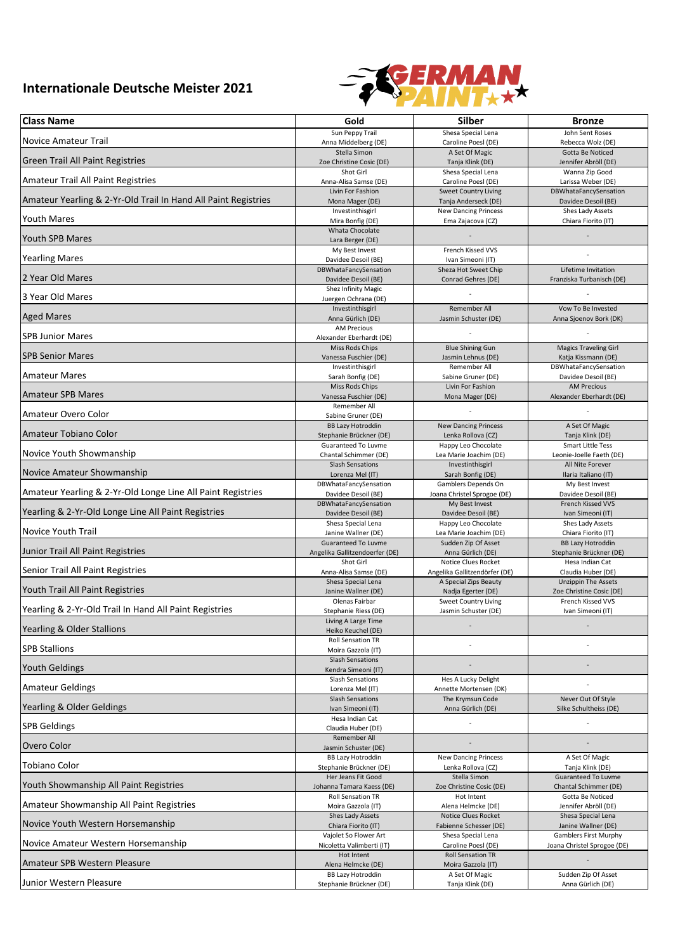## **Internationale Deutsche Meister 2021**



| <b>Class Name</b>                                              | Gold                                                | Silber                                                      | <b>Bronze</b>                                          |
|----------------------------------------------------------------|-----------------------------------------------------|-------------------------------------------------------------|--------------------------------------------------------|
| Novice Amateur Trail                                           | Sun Peppy Trail<br>Anna Middelberg (DE)             | Shesa Special Lena<br>Caroline Poesl (DE)                   | John Sent Roses<br>Rebecca Wolz (DE)                   |
| Green Trail All Paint Registries                               | Stella Simon<br>Zoe Christine Cosic (DE)            | A Set Of Magic<br>Tanja Klink (DE)                          | Gotta Be Noticed<br>Jennifer Abröll (DE)               |
| <b>Amateur Trail All Paint Registries</b>                      | Shot Girl<br>Anna-Alisa Samse (DE)                  | Shesa Special Lena<br>Caroline Poesl (DE)                   | Wanna Zip Good<br>Larissa Weber (DE)                   |
| Amateur Yearling & 2-Yr-Old Trail In Hand All Paint Registries | Livin For Fashion<br>Mona Mager (DE)                | <b>Sweet Country Living</b><br>Tanja Anderseck (DE)         | DBWhataFancySensation<br>Davidee Desoil (BE)           |
| Youth Mares                                                    | Investinthisgirl<br>Mira Bonfig (DE)                | <b>New Dancing Princess</b><br>Ema Zajacova (CZ)            | Shes Lady Assets<br>Chiara Fiorito (IT)                |
| <b>Youth SPB Mares</b>                                         | <b>Whata Chocolate</b>                              |                                                             |                                                        |
| <b>Yearling Mares</b>                                          | Lara Berger (DE)<br>My Best Invest                  | French Kissed VVS                                           |                                                        |
| 2 Year Old Mares                                               | Davidee Desoil (BE)<br>DBWhataFancySensation        | Ivan Simeoni (IT)<br>Sheza Hot Sweet Chip                   | Lifetime Invitation                                    |
|                                                                | Davidee Desoil (BE)<br>Shez Infinity Magic          | Conrad Gehres (DE)                                          | Franziska Turbanisch (DE)                              |
| 3 Year Old Mares                                               | Juergen Ochrana (DE)<br>Investinthisgirl            | Remember All                                                | Vow To Be Invested                                     |
| <b>Aged Mares</b>                                              | Anna Gürlich (DE)<br><b>AM Precious</b>             | Jasmin Schuster (DE)                                        | Anna Sjoenov Bork (DK)                                 |
| <b>SPB Junior Mares</b>                                        | Alexander Eberhardt (DE)<br>Miss Rods Chips         | <b>Blue Shining Gun</b>                                     | <b>Magics Traveling Girl</b>                           |
| <b>SPB Senior Mares</b>                                        | Vanessa Fuschier (DE)<br>Investinthisgirl           | Jasmin Lehnus (DE)<br>Remember All                          | Katja Kissmann (DE)<br>DBWhataFancySensation           |
| <b>Amateur Mares</b>                                           | Sarah Bonfig (DE)                                   | Sabine Gruner (DE)                                          | Davidee Desoil (BE)                                    |
| <b>Amateur SPB Mares</b>                                       | Miss Rods Chips<br>Vanessa Fuschier (DE)            | Livin For Fashion<br>Mona Mager (DE)                        | <b>AM Precious</b><br>Alexander Eberhardt (DE)         |
| Amateur Overo Color                                            | Remember All<br>Sabine Gruner (DE)                  |                                                             |                                                        |
|                                                                | <b>BB Lazy Hotroddin</b>                            | <b>New Dancing Princess</b>                                 | A Set Of Magic                                         |
| Amateur Tobiano Color                                          | Stephanie Brückner (DE)<br>Guaranteed To Luvme      | Lenka Rollova (CZ)<br>Happy Leo Chocolate                   | Tanja Klink (DE)<br><b>Smart Little Tess</b>           |
| Novice Youth Showmanship                                       | Chantal Schimmer (DE)<br><b>Slash Sensations</b>    | Lea Marie Joachim (DE)<br>Investinthisgirl                  | Leonie-Joelle Faeth (DE)<br>All Nite Forever           |
| Novice Amateur Showmanship                                     | Lorenza Mel (IT)                                    | Sarah Bonfig (DE)                                           | Ilaria Italiano (IT)                                   |
| Amateur Yearling & 2-Yr-Old Longe Line All Paint Registries    | DBWhataFancySensation<br>Davidee Desoil (BE)        | Gamblers Depends On<br>Joana Christel Sprogoe (DE)          | My Best Invest<br>Davidee Desoil (BE)                  |
|                                                                | DBWhataFancySensation                               | My Best Invest                                              | French Kissed VVS                                      |
| Yearling & 2-Yr-Old Longe Line All Paint Registries            | Davidee Desoil (BE)<br>Shesa Special Lena           | Davidee Desoil (BE)<br>Happy Leo Chocolate                  | Ivan Simeoni (IT)<br>Shes Lady Assets                  |
| Novice Youth Trail                                             | Janine Wallner (DE)<br>Guaranteed To Luvme          | Lea Marie Joachim (DE)                                      | Chiara Fiorito (IT)                                    |
| Junior Trail All Paint Registries                              | Angelika Gallitzendoerfer (DE)                      | Sudden Zip Of Asset<br>Anna Gürlich (DE)                    | <b>BB Lazy Hotroddin</b><br>Stephanie Brückner (DE)    |
| Senior Trail All Paint Registries                              | Shot Girl<br>Anna-Alisa Samse (DE)                  | <b>Notice Clues Rocket</b><br>Angelika Gallitzendörfer (DE) | Hesa Indian Cat<br>Claudia Huber (DE)                  |
| Youth Trail All Paint Registries                               | Shesa Special Lena<br>Janine Wallner (DE)           | A Special Zips Beauty<br>Nadja Egerter (DE)                 | <b>Unzippin The Assets</b><br>Zoe Christine Cosic (DE) |
| Yearling & 2-Yr-Old Trail In Hand All Paint Registries         | Olenas Fairbar<br>Stephanie Riess (DE)              | <b>Sweet Country Living</b><br>Jasmin Schuster (DE)         | French Kissed VVS<br>Ivan Simeoni (IT)                 |
| Yearling & Older Stallions                                     | Living A Large Time<br>Heiko Keuchel (DE)           |                                                             |                                                        |
| <b>SPB Stallions</b>                                           | <b>Roll Sensation TR</b><br>Moira Gazzola (IT)      |                                                             |                                                        |
| <b>Youth Geldings</b>                                          | <b>Slash Sensations</b><br>Kendra Simeoni (IT)      |                                                             |                                                        |
| <b>Amateur Geldings</b>                                        | <b>Slash Sensations</b><br>Lorenza Mel (IT)         | Hes A Lucky Delight<br>Annette Mortensen (DK)               |                                                        |
| Yearling & Older Geldings                                      | <b>Slash Sensations</b><br>Ivan Simeoni (IT)        | The Krymsun Code<br>Anna Gürlich (DE)                       | Never Out Of Style<br>Silke Schultheiss (DE)           |
| <b>SPB Geldings</b>                                            | Hesa Indian Cat<br>Claudia Huber (DE)               |                                                             |                                                        |
| Overo Color                                                    | Remember All<br>Jasmin Schuster (DE)                |                                                             |                                                        |
| Tobiano Color                                                  | <b>BB Lazy Hotroddin</b><br>Stephanie Brückner (DE) | <b>New Dancing Princess</b><br>Lenka Rollova (CZ)           | A Set Of Magic<br>Tanja Klink (DE)                     |
| Youth Showmanship All Paint Registries                         | Her Jeans Fit Good<br>Johanna Tamara Kaess (DE)     | Stella Simon<br>Zoe Christine Cosic (DE)                    | Guaranteed To Luvme<br>Chantal Schimmer (DE)           |
| Amateur Showmanship All Paint Registries                       | <b>Roll Sensation TR</b><br>Moira Gazzola (IT)      | Hot Intent<br>Alena Helmcke (DE)                            | Gotta Be Noticed<br>Jennifer Abröll (DE)               |
| Novice Youth Western Horsemanship                              | Shes Lady Assets<br>Chiara Fiorito (IT)             | Notice Clues Rocket<br>Fabienne Schesser (DE)               | Shesa Special Lena<br>Janine Wallner (DE)              |
|                                                                | Vajolet So Flower Art                               | Shesa Special Lena                                          | <b>Gamblers First Murphy</b>                           |
| Novice Amateur Western Horsemanship                            | Nicoletta Valimberti (IT)<br>Hot Intent             | Caroline Poesl (DE)<br><b>Roll Sensation TR</b>             | Joana Christel Sprogoe (DE)                            |
| Amateur SPB Western Pleasure                                   | Alena Helmcke (DE)<br><b>BB Lazy Hotroddin</b>      | Moira Gazzola (IT)<br>A Set Of Magic                        | Sudden Zip Of Asset                                    |
| Junior Western Pleasure                                        | Stephanie Brückner (DE)                             | Tanja Klink (DE)                                            | Anna Gürlich (DE)                                      |